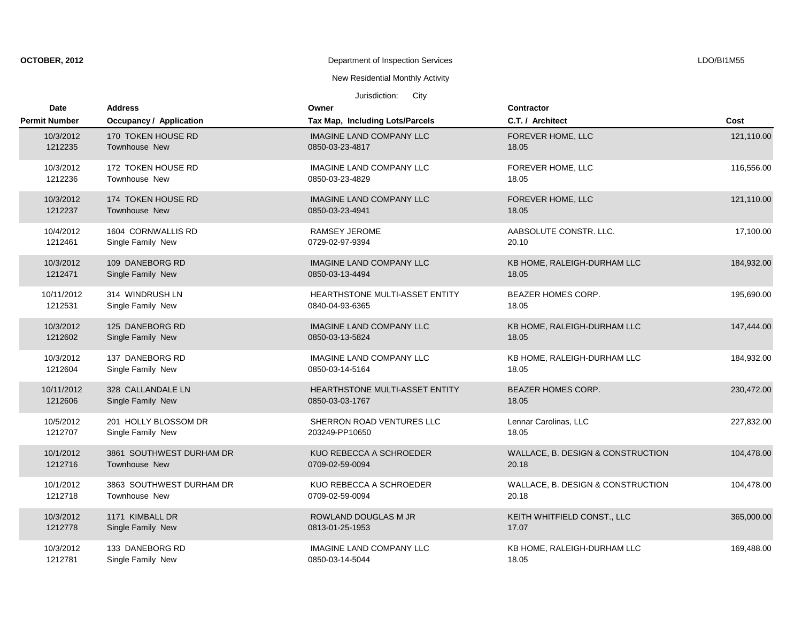| OCTOBER, 2012 |  |  |
|---------------|--|--|
|---------------|--|--|

# New Residential Monthly Activity

| Date                 | <b>Address</b>                 | Owner                           | <b>Contractor</b>                 |            |
|----------------------|--------------------------------|---------------------------------|-----------------------------------|------------|
| <b>Permit Number</b> | <b>Occupancy / Application</b> | Tax Map, Including Lots/Parcels | C.T. / Architect                  | Cost       |
| 10/3/2012            | 170 TOKEN HOUSE RD             | <b>IMAGINE LAND COMPANY LLC</b> | FOREVER HOME, LLC                 | 121,110.00 |
| 1212235              | <b>Townhouse New</b>           | 0850-03-23-4817                 | 18.05                             |            |
| 10/3/2012            | 172 TOKEN HOUSE RD             | <b>IMAGINE LAND COMPANY LLC</b> | FOREVER HOME, LLC                 | 116,556.00 |
| 1212236              | Townhouse New                  | 0850-03-23-4829                 | 18.05                             |            |
| 10/3/2012            | 174 TOKEN HOUSE RD             | <b>IMAGINE LAND COMPANY LLC</b> | FOREVER HOME, LLC                 | 121,110.00 |
| 1212237              | <b>Townhouse New</b>           | 0850-03-23-4941                 | 18.05                             |            |
| 10/4/2012            | 1604 CORNWALLIS RD             | <b>RAMSEY JEROME</b>            | AABSOLUTE CONSTR. LLC.            | 17,100.00  |
| 1212461              | Single Family New              | 0729-02-97-9394                 | 20.10                             |            |
| 10/3/2012            | 109 DANEBORG RD                | <b>IMAGINE LAND COMPANY LLC</b> | KB HOME, RALEIGH-DURHAM LLC       | 184,932.00 |
| 1212471              | Single Family New              | 0850-03-13-4494                 | 18.05                             |            |
| 10/11/2012           | 314 WINDRUSH LN                | HEARTHSTONE MULTI-ASSET ENTITY  | <b>BEAZER HOMES CORP.</b>         | 195,690.00 |
| 1212531              | Single Family New              | 0840-04-93-6365                 | 18.05                             |            |
| 10/3/2012            | 125 DANEBORG RD                | <b>IMAGINE LAND COMPANY LLC</b> | KB HOME, RALEIGH-DURHAM LLC       | 147,444.00 |
| 1212602              | Single Family New              | 0850-03-13-5824                 | 18.05                             |            |
| 10/3/2012            | 137 DANEBORG RD                | <b>IMAGINE LAND COMPANY LLC</b> | KB HOME, RALEIGH-DURHAM LLC       | 184,932.00 |
| 1212604              | Single Family New              | 0850-03-14-5164                 | 18.05                             |            |
| 10/11/2012           | 328 CALLANDALE LN              | HEARTHSTONE MULTI-ASSET ENTITY  | <b>BEAZER HOMES CORP.</b>         | 230,472.00 |
| 1212606              | Single Family New              | 0850-03-03-1767                 | 18.05                             |            |
| 10/5/2012            | 201 HOLLY BLOSSOM DR           | SHERRON ROAD VENTURES LLC       | Lennar Carolinas, LLC             | 227,832.00 |
| 1212707              | Single Family New              | 203249-PP10650                  | 18.05                             |            |
| 10/1/2012            | 3861 SOUTHWEST DURHAM DR       | KUO REBECCA A SCHROEDER         | WALLACE, B. DESIGN & CONSTRUCTION | 104,478.00 |
| 1212716              | Townhouse New                  | 0709-02-59-0094                 | 20.18                             |            |
| 10/1/2012            | 3863 SOUTHWEST DURHAM DR       | KUO REBECCA A SCHROEDER         | WALLACE, B. DESIGN & CONSTRUCTION | 104,478.00 |
| 1212718              | Townhouse New                  | 0709-02-59-0094                 | 20.18                             |            |
| 10/3/2012            | 1171 KIMBALL DR                | <b>ROWLAND DOUGLAS M JR</b>     | KEITH WHITFIELD CONST., LLC       | 365,000.00 |
| 1212778              | Single Family New              | 0813-01-25-1953                 | 17.07                             |            |
| 10/3/2012            | 133 DANEBORG RD                | <b>IMAGINE LAND COMPANY LLC</b> | KB HOME, RALEIGH-DURHAM LLC       | 169,488.00 |
| 1212781              | Single Family New              | 0850-03-14-5044                 | 18.05                             |            |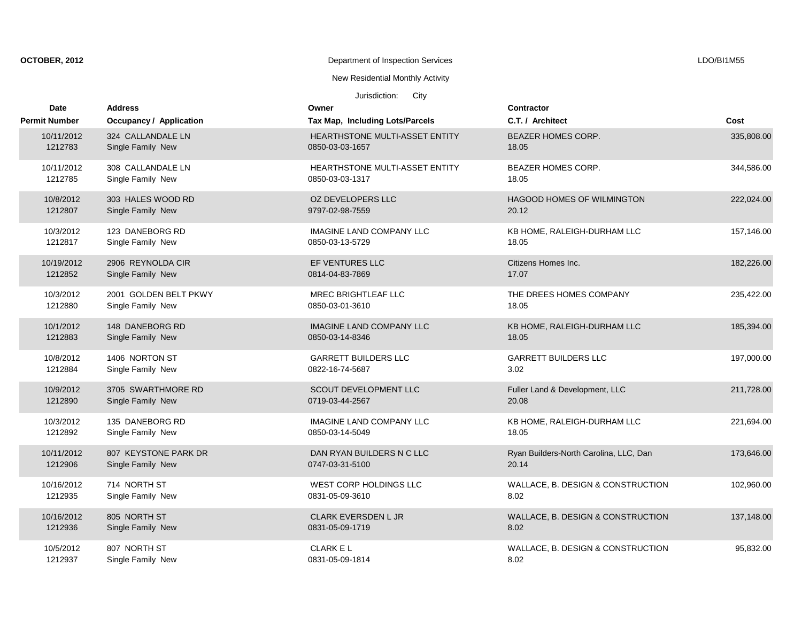| OCTOBER, 2012 |  |  |
|---------------|--|--|
|               |  |  |

New Residential Monthly Activity

| Date                 | <b>Address</b>          | Owner                                 | Contractor                             |            |
|----------------------|-------------------------|---------------------------------------|----------------------------------------|------------|
| <b>Permit Number</b> | Occupancy / Application | Tax Map, Including Lots/Parcels       | C.T. / Architect                       | Cost       |
| 10/11/2012           | 324 CALLANDALE LN       | <b>HEARTHSTONE MULTI-ASSET ENTITY</b> | <b>BEAZER HOMES CORP.</b>              | 335,808.00 |
| 1212783              | Single Family New       | 0850-03-03-1657                       | 18.05                                  |            |
| 10/11/2012           | 308 CALLANDALE LN       | <b>HEARTHSTONE MULTI-ASSET ENTITY</b> | <b>BEAZER HOMES CORP.</b>              | 344,586.00 |
| 1212785              | Single Family New       | 0850-03-03-1317                       | 18.05                                  |            |
| 10/8/2012            | 303 HALES WOOD RD       | OZ DEVELOPERS LLC                     | <b>HAGOOD HOMES OF WILMINGTON</b>      | 222,024.00 |
| 1212807              | Single Family New       | 9797-02-98-7559                       | 20.12                                  |            |
| 10/3/2012            | 123 DANEBORG RD         | <b>IMAGINE LAND COMPANY LLC</b>       | KB HOME, RALEIGH-DURHAM LLC            | 157,146.00 |
| 1212817              | Single Family New       | 0850-03-13-5729                       | 18.05                                  |            |
| 10/19/2012           | 2906 REYNOLDA CIR       | EF VENTURES LLC                       | Citizens Homes Inc.                    | 182,226.00 |
| 1212852              | Single Family New       | 0814-04-83-7869                       | 17.07                                  |            |
| 10/3/2012            | 2001 GOLDEN BELT PKWY   | <b>MREC BRIGHTLEAF LLC</b>            | THE DREES HOMES COMPANY                | 235,422.00 |
| 1212880              | Single Family New       | 0850-03-01-3610                       | 18.05                                  |            |
| 10/1/2012            | 148 DANEBORG RD         | <b>IMAGINE LAND COMPANY LLC</b>       | KB HOME, RALEIGH-DURHAM LLC            | 185,394.00 |
| 1212883              | Single Family New       | 0850-03-14-8346                       | 18.05                                  |            |
| 10/8/2012            | 1406 NORTON ST          | <b>GARRETT BUILDERS LLC</b>           | <b>GARRETT BUILDERS LLC</b>            | 197,000.00 |
| 1212884              | Single Family New       | 0822-16-74-5687                       | 3.02                                   |            |
| 10/9/2012            | 3705 SWARTHMORE RD      | <b>SCOUT DEVELOPMENT LLC</b>          | Fuller Land & Development, LLC         | 211,728.00 |
| 1212890              | Single Family New       | 0719-03-44-2567                       | 20.08                                  |            |
| 10/3/2012            | 135 DANEBORG RD         | <b>IMAGINE LAND COMPANY LLC</b>       | KB HOME, RALEIGH-DURHAM LLC            | 221,694.00 |
| 1212892              | Single Family New       | 0850-03-14-5049                       | 18.05                                  |            |
| 10/11/2012           | 807 KEYSTONE PARK DR    | DAN RYAN BUILDERS N C LLC             | Ryan Builders-North Carolina, LLC, Dan | 173,646.00 |
| 1212906              | Single Family New       | 0747-03-31-5100                       | 20.14                                  |            |
| 10/16/2012           | 714 NORTH ST            | WEST CORP HOLDINGS LLC                | WALLACE, B. DESIGN & CONSTRUCTION      | 102,960.00 |
| 1212935              | Single Family New       | 0831-05-09-3610                       | 8.02                                   |            |
| 10/16/2012           | 805 NORTH ST            | <b>CLARK EVERSDEN L JR</b>            | WALLACE, B. DESIGN & CONSTRUCTION      | 137,148.00 |
| 1212936              | Single Family New       | 0831-05-09-1719                       | 8.02                                   |            |
| 10/5/2012            | 807 NORTH ST            | <b>CLARK EL</b>                       | WALLACE, B. DESIGN & CONSTRUCTION      | 95,832.00  |
| 1212937              | Single Family New       | 0831-05-09-1814                       | 8.02                                   |            |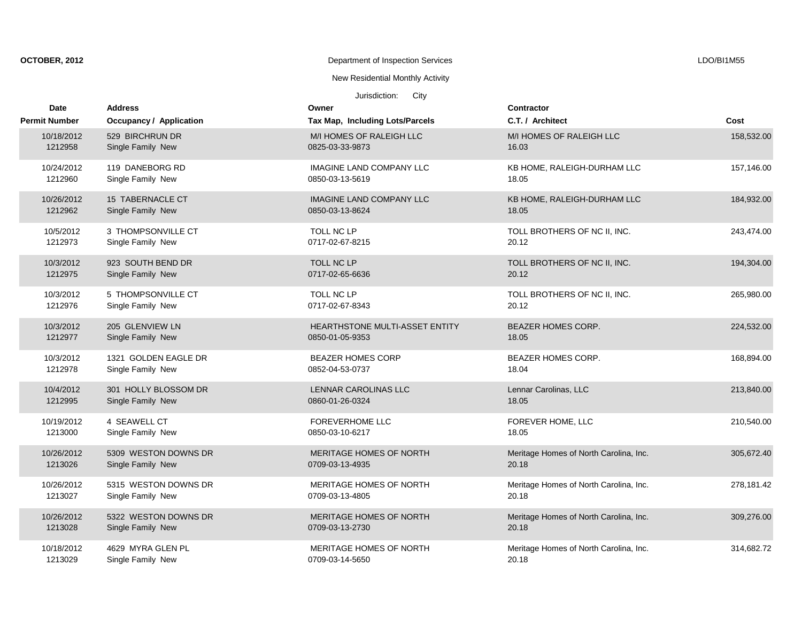| OCTOBER, 2012 |
|---------------|
|---------------|

# New Residential Monthly Activity

| <b>Date</b>          | <b>Address</b>                 | Owner                           | Contractor                             |            |
|----------------------|--------------------------------|---------------------------------|----------------------------------------|------------|
| <b>Permit Number</b> | <b>Occupancy / Application</b> | Tax Map, Including Lots/Parcels | C.T. / Architect                       | Cost       |
| 10/18/2012           | 529 BIRCHRUN DR                | M/I HOMES OF RALEIGH LLC        | M/I HOMES OF RALEIGH LLC               | 158,532.00 |
| 1212958              | Single Family New              | 0825-03-33-9873                 | 16.03                                  |            |
| 10/24/2012           | 119 DANEBORG RD                | <b>IMAGINE LAND COMPANY LLC</b> | KB HOME, RALEIGH-DURHAM LLC            | 157,146.00 |
| 1212960              | Single Family New              | 0850-03-13-5619                 | 18.05                                  |            |
| 10/26/2012           | 15 TABERNACLE CT               | <b>IMAGINE LAND COMPANY LLC</b> | KB HOME, RALEIGH-DURHAM LLC            | 184,932.00 |
| 1212962              | Single Family New              | 0850-03-13-8624                 | 18.05                                  |            |
| 10/5/2012            | 3 THOMPSONVILLE CT             | <b>TOLL NC LP</b>               | TOLL BROTHERS OF NC II, INC.           | 243,474.00 |
| 1212973              | Single Family New              | 0717-02-67-8215                 | 20.12                                  |            |
| 10/3/2012            | 923 SOUTH BEND DR              | TOLL NC LP                      | TOLL BROTHERS OF NC II, INC.           | 194,304.00 |
| 1212975              | Single Family New              | 0717-02-65-6636                 | 20.12                                  |            |
| 10/3/2012            | 5 THOMPSONVILLE CT             | TOLL NC LP                      | TOLL BROTHERS OF NC II, INC.           | 265,980.00 |
| 1212976              | Single Family New              | 0717-02-67-8343                 | 20.12                                  |            |
| 10/3/2012            | 205 GLENVIEW LN                | HEARTHSTONE MULTI-ASSET ENTITY  | BEAZER HOMES CORP.                     | 224,532.00 |
| 1212977              | Single Family New              | 0850-01-05-9353                 | 18.05                                  |            |
| 10/3/2012            | 1321 GOLDEN EAGLE DR           | <b>BEAZER HOMES CORP</b>        | BEAZER HOMES CORP.                     | 168,894.00 |
| 1212978              | Single Family New              | 0852-04-53-0737                 | 18.04                                  |            |
| 10/4/2012            | 301 HOLLY BLOSSOM DR           | LENNAR CAROLINAS LLC            | Lennar Carolinas, LLC                  | 213,840.00 |
| 1212995              | Single Family New              | 0860-01-26-0324                 | 18.05                                  |            |
| 10/19/2012           | 4 SEAWELL CT                   | <b>FOREVERHOME LLC</b>          | FOREVER HOME, LLC                      | 210,540.00 |
| 1213000              | Single Family New              | 0850-03-10-6217                 | 18.05                                  |            |
| 10/26/2012           | 5309 WESTON DOWNS DR           | MERITAGE HOMES OF NORTH         | Meritage Homes of North Carolina, Inc. | 305,672.40 |
| 1213026              | Single Family New              | 0709-03-13-4935                 | 20.18                                  |            |
| 10/26/2012           | 5315 WESTON DOWNS DR           | MERITAGE HOMES OF NORTH         | Meritage Homes of North Carolina, Inc. | 278,181.42 |
| 1213027              | Single Family New              | 0709-03-13-4805                 | 20.18                                  |            |
| 10/26/2012           | 5322 WESTON DOWNS DR           | MERITAGE HOMES OF NORTH         | Meritage Homes of North Carolina, Inc. | 309,276.00 |
| 1213028              | Single Family New              | 0709-03-13-2730                 | 20.18                                  |            |
| 10/18/2012           | 4629 MYRA GLEN PL              | MERITAGE HOMES OF NORTH         | Meritage Homes of North Carolina, Inc. | 314,682.72 |
| 1213029              | Single Family New              | 0709-03-14-5650                 | 20.18                                  |            |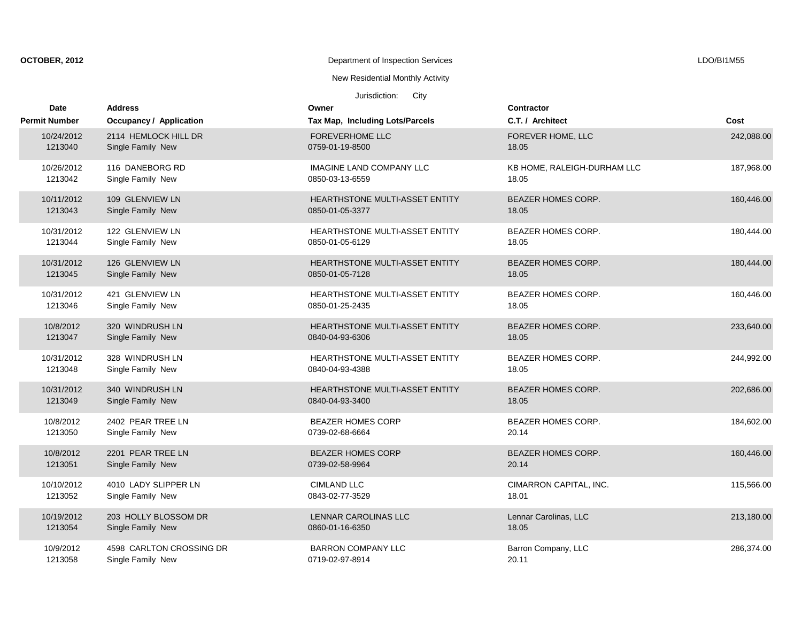| OCTOBER, 2012 |  |  |  |  |  |  |
|---------------|--|--|--|--|--|--|
|---------------|--|--|--|--|--|--|

# New Residential Monthly Activity

| <b>Date</b>          | <b>Address</b>           | Owner                                 | <b>Contractor</b>           |            |
|----------------------|--------------------------|---------------------------------------|-----------------------------|------------|
| <b>Permit Number</b> | Occupancy / Application  | Tax Map, Including Lots/Parcels       | C.T. / Architect            | Cost       |
| 10/24/2012           | 2114 HEMLOCK HILL DR     | <b>FOREVERHOME LLC</b>                | FOREVER HOME, LLC           | 242,088.00 |
| 1213040              | Single Family New        | 0759-01-19-8500                       | 18.05                       |            |
| 10/26/2012           | 116 DANEBORG RD          | <b>IMAGINE LAND COMPANY LLC</b>       | KB HOME, RALEIGH-DURHAM LLC | 187,968.00 |
| 1213042              | Single Family New        | 0850-03-13-6559                       | 18.05                       |            |
| 10/11/2012           | 109 GLENVIEW LN          | HEARTHSTONE MULTI-ASSET ENTITY        | <b>BEAZER HOMES CORP.</b>   | 160,446.00 |
| 1213043              | Single Family New        | 0850-01-05-3377                       | 18.05                       |            |
| 10/31/2012           | 122 GLENVIEW LN          | <b>HEARTHSTONE MULTI-ASSET ENTITY</b> | <b>BEAZER HOMES CORP.</b>   | 180,444.00 |
| 1213044              | Single Family New        | 0850-01-05-6129                       | 18.05                       |            |
| 10/31/2012           | 126 GLENVIEW LN          | HEARTHSTONE MULTI-ASSET ENTITY        | <b>BEAZER HOMES CORP.</b>   | 180,444.00 |
| 1213045              | Single Family New        | 0850-01-05-7128                       | 18.05                       |            |
| 10/31/2012           | 421 GLENVIEW LN          | HEARTHSTONE MULTI-ASSET ENTITY        | BEAZER HOMES CORP.          | 160,446.00 |
| 1213046              | Single Family New        | 0850-01-25-2435                       | 18.05                       |            |
| 10/8/2012            | 320 WINDRUSH LN          | HEARTHSTONE MULTI-ASSET ENTITY        | <b>BEAZER HOMES CORP.</b>   | 233,640.00 |
| 1213047              | Single Family New        | 0840-04-93-6306                       | 18.05                       |            |
| 10/31/2012           | 328 WINDRUSH LN          | <b>HEARTHSTONE MULTI-ASSET ENTITY</b> | <b>BEAZER HOMES CORP.</b>   | 244,992.00 |
| 1213048              | Single Family New        | 0840-04-93-4388                       | 18.05                       |            |
| 10/31/2012           | 340 WINDRUSH LN          | <b>HEARTHSTONE MULTI-ASSET ENTITY</b> | <b>BEAZER HOMES CORP.</b>   | 202,686.00 |
| 1213049              | Single Family New        | 0840-04-93-3400                       | 18.05                       |            |
| 10/8/2012            | 2402 PEAR TREE LN        | <b>BEAZER HOMES CORP</b>              | <b>BEAZER HOMES CORP.</b>   | 184,602.00 |
| 1213050              | Single Family New        | 0739-02-68-6664                       | 20.14                       |            |
| 10/8/2012            | 2201 PEAR TREE LN        | <b>BEAZER HOMES CORP</b>              | <b>BEAZER HOMES CORP.</b>   | 160,446.00 |
| 1213051              | Single Family New        | 0739-02-58-9964                       | 20.14                       |            |
| 10/10/2012           | 4010 LADY SLIPPER LN     | <b>CIMLAND LLC</b>                    | CIMARRON CAPITAL, INC.      | 115,566.00 |
| 1213052              | Single Family New        | 0843-02-77-3529                       | 18.01                       |            |
| 10/19/2012           | 203 HOLLY BLOSSOM DR     | LENNAR CAROLINAS LLC                  | Lennar Carolinas, LLC       | 213,180.00 |
| 1213054              | Single Family New        | 0860-01-16-6350                       | 18.05                       |            |
| 10/9/2012            | 4598 CARLTON CROSSING DR | <b>BARRON COMPANY LLC</b>             | Barron Company, LLC         | 286,374.00 |
| 1213058              | Single Family New        | 0719-02-97-8914                       | 20.11                       |            |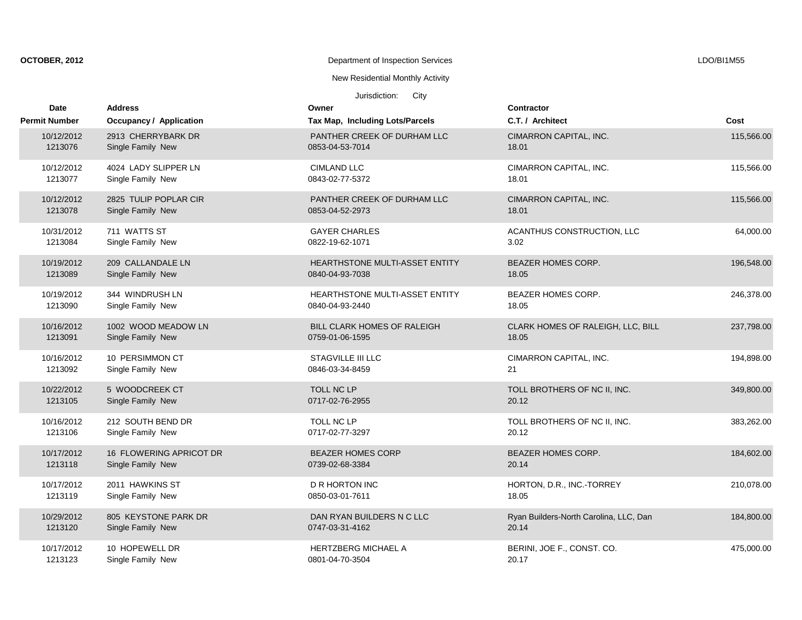| OCTOBER, 2012 |
|---------------|
|---------------|

New Residential Monthly Activity

| Date<br><b>Permit Number</b> | <b>Address</b>                                                     | Owner                                                                             | <b>Contractor</b><br>C.T. / Architect  | Cost       |
|------------------------------|--------------------------------------------------------------------|-----------------------------------------------------------------------------------|----------------------------------------|------------|
| 10/12/2012<br>1213076        | Occupancy / Application<br>2913 CHERRYBARK DR<br>Single Family New | Tax Map, Including Lots/Parcels<br>PANTHER CREEK OF DURHAM LLC<br>0853-04-53-7014 | CIMARRON CAPITAL, INC.<br>18.01        | 115,566.00 |
| 10/12/2012                   | 4024 LADY SLIPPER LN                                               | <b>CIMLAND LLC</b>                                                                | CIMARRON CAPITAL, INC.                 | 115,566.00 |
| 1213077                      | Single Family New                                                  | 0843-02-77-5372                                                                   | 18.01                                  |            |
| 10/12/2012                   | 2825 TULIP POPLAR CIR                                              | PANTHER CREEK OF DURHAM LLC                                                       | CIMARRON CAPITAL, INC.                 | 115,566.00 |
| 1213078                      | Single Family New                                                  | 0853-04-52-2973                                                                   | 18.01                                  |            |
| 10/31/2012                   | 711 WATTS ST                                                       | <b>GAYER CHARLES</b>                                                              | ACANTHUS CONSTRUCTION, LLC             | 64,000.00  |
| 1213084                      | Single Family New                                                  | 0822-19-62-1071                                                                   | 3.02                                   |            |
| 10/19/2012                   | 209 CALLANDALE LN                                                  | <b>HEARTHSTONE MULTI-ASSET ENTITY</b>                                             | <b>BEAZER HOMES CORP.</b>              | 196,548.00 |
| 1213089                      | Single Family New                                                  | 0840-04-93-7038                                                                   | 18.05                                  |            |
| 10/19/2012                   | 344 WINDRUSH LN                                                    | <b>HEARTHSTONE MULTI-ASSET ENTITY</b>                                             | <b>BEAZER HOMES CORP.</b>              | 246,378.00 |
| 1213090                      | Single Family New                                                  | 0840-04-93-2440                                                                   | 18.05                                  |            |
| 10/16/2012                   | 1002 WOOD MEADOW LN                                                | <b>BILL CLARK HOMES OF RALEIGH</b>                                                | CLARK HOMES OF RALEIGH, LLC, BILL      | 237,798.00 |
| 1213091                      | Single Family New                                                  | 0759-01-06-1595                                                                   | 18.05                                  |            |
| 10/16/2012                   | 10 PERSIMMON CT                                                    | <b>STAGVILLE III LLC</b>                                                          | CIMARRON CAPITAL, INC.                 | 194,898.00 |
| 1213092                      | Single Family New                                                  | 0846-03-34-8459                                                                   | 21                                     |            |
| 10/22/2012                   | 5 WOODCREEK CT                                                     | <b>TOLL NC LP</b>                                                                 | TOLL BROTHERS OF NC II, INC.           | 349,800.00 |
| 1213105                      | Single Family New                                                  | 0717-02-76-2955                                                                   | 20.12                                  |            |
| 10/16/2012                   | 212 SOUTH BEND DR                                                  | TOLL NC LP                                                                        | TOLL BROTHERS OF NC II, INC.           | 383,262.00 |
| 1213106                      | Single Family New                                                  | 0717-02-77-3297                                                                   | 20.12                                  |            |
| 10/17/2012                   | 16 FLOWERING APRICOT DR                                            | <b>BEAZER HOMES CORP</b>                                                          | <b>BEAZER HOMES CORP.</b>              | 184,602.00 |
| 1213118                      | Single Family New                                                  | 0739-02-68-3384                                                                   | 20.14                                  |            |
| 10/17/2012                   | 2011 HAWKINS ST                                                    | <b>D R HORTON INC</b>                                                             | HORTON, D.R., INC.-TORREY              | 210.078.00 |
| 1213119                      | Single Family New                                                  | 0850-03-01-7611                                                                   | 18.05                                  |            |
| 10/29/2012                   | 805 KEYSTONE PARK DR                                               | DAN RYAN BUILDERS N C LLC                                                         | Ryan Builders-North Carolina, LLC, Dan | 184,800.00 |
| 1213120                      | Single Family New                                                  | 0747-03-31-4162                                                                   | 20.14                                  |            |
| 10/17/2012                   | 10 HOPEWELL DR                                                     | <b>HERTZBERG MICHAEL A</b>                                                        | BERINI, JOE F., CONST. CO.             | 475,000.00 |
| 1213123                      | Single Family New                                                  | 0801-04-70-3504                                                                   | 20.17                                  |            |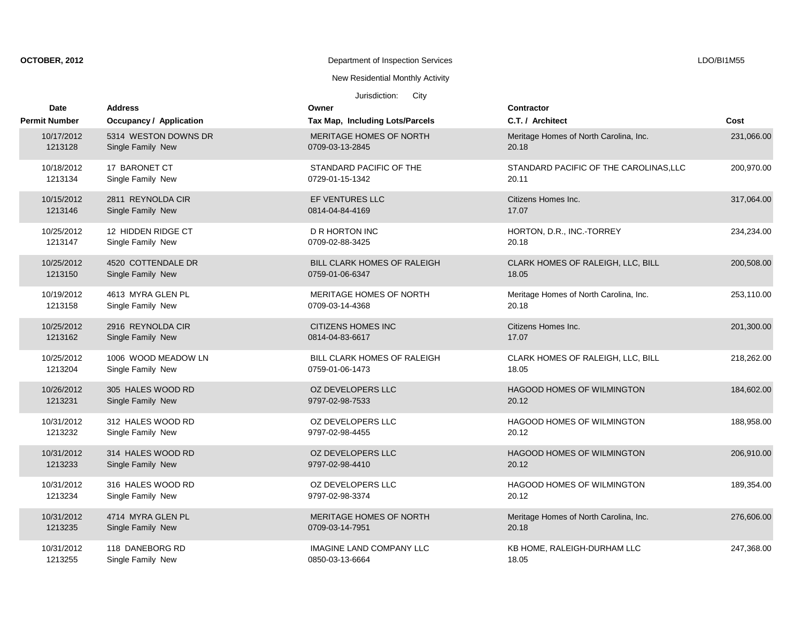| OCTOBER, 2012 |
|---------------|
|---------------|

New Residential Monthly Activity

| <b>Date</b>          | <b>Address</b>                 | Owner                              | <b>Contractor</b>                      |            |
|----------------------|--------------------------------|------------------------------------|----------------------------------------|------------|
| <b>Permit Number</b> | <b>Occupancy / Application</b> | Tax Map, Including Lots/Parcels    | C.T. / Architect                       | Cost       |
| 10/17/2012           | 5314 WESTON DOWNS DR           | MERITAGE HOMES OF NORTH            | Meritage Homes of North Carolina, Inc. | 231,066.00 |
| 1213128              | Single Family New              | 0709-03-13-2845                    | 20.18                                  |            |
| 10/18/2012           | 17 BARONET CT                  | STANDARD PACIFIC OF THE            | STANDARD PACIFIC OF THE CAROLINAS, LLC | 200,970.00 |
| 1213134              | Single Family New              | 0729-01-15-1342                    | 20.11                                  |            |
| 10/15/2012           | 2811 REYNOLDA CIR              | <b>EF VENTURES LLC</b>             | Citizens Homes Inc.                    | 317,064.00 |
| 1213146              | Single Family New              | 0814-04-84-4169                    | 17.07                                  |            |
| 10/25/2012           | 12 HIDDEN RIDGE CT             | D R HORTON INC                     | HORTON, D.R., INC.-TORREY              | 234,234.00 |
| 1213147              | Single Family New              | 0709-02-88-3425                    | 20.18                                  |            |
| 10/25/2012           | 4520 COTTENDALE DR             | <b>BILL CLARK HOMES OF RALEIGH</b> | CLARK HOMES OF RALEIGH, LLC, BILL      | 200,508.00 |
| 1213150              | Single Family New              | 0759-01-06-6347                    | 18.05                                  |            |
| 10/19/2012           | 4613 MYRA GLEN PL              | MERITAGE HOMES OF NORTH            | Meritage Homes of North Carolina, Inc. | 253.110.00 |
| 1213158              | Single Family New              | 0709-03-14-4368                    | 20.18                                  |            |
| 10/25/2012           | 2916 REYNOLDA CIR              | <b>CITIZENS HOMES INC</b>          | Citizens Homes Inc.                    | 201,300.00 |
| 1213162              | Single Family New              | 0814-04-83-6617                    | 17.07                                  |            |
| 10/25/2012           | 1006 WOOD MEADOW LN            | BILL CLARK HOMES OF RALEIGH        | CLARK HOMES OF RALEIGH, LLC, BILL      | 218,262.00 |
| 1213204              | Single Family New              | 0759-01-06-1473                    | 18.05                                  |            |
| 10/26/2012           | 305 HALES WOOD RD              | OZ DEVELOPERS LLC                  | <b>HAGOOD HOMES OF WILMINGTON</b>      | 184,602.00 |
| 1213231              | Single Family New              | 9797-02-98-7533                    | 20.12                                  |            |
| 10/31/2012           | 312 HALES WOOD RD              | OZ DEVELOPERS LLC                  | <b>HAGOOD HOMES OF WILMINGTON</b>      | 188,958.00 |
| 1213232              | Single Family New              | 9797-02-98-4455                    | 20.12                                  |            |
| 10/31/2012           | 314 HALES WOOD RD              | OZ DEVELOPERS LLC                  | HAGOOD HOMES OF WILMINGTON             | 206,910.00 |
| 1213233              | Single Family New              | 9797-02-98-4410                    | 20.12                                  |            |
| 10/31/2012           | 316 HALES WOOD RD              | OZ DEVELOPERS LLC                  | <b>HAGOOD HOMES OF WILMINGTON</b>      | 189,354.00 |
| 1213234              | Single Family New              | 9797-02-98-3374                    | 20.12                                  |            |
| 10/31/2012           | 4714 MYRA GLEN PL              | MERITAGE HOMES OF NORTH            | Meritage Homes of North Carolina, Inc. | 276,606.00 |
| 1213235              | Single Family New              | 0709-03-14-7951                    | 20.18                                  |            |
| 10/31/2012           | 118 DANEBORG RD                | <b>IMAGINE LAND COMPANY LLC</b>    | KB HOME, RALEIGH-DURHAM LLC            | 247,368.00 |
| 1213255              | Single Family New              | 0850-03-13-6664                    | 18.05                                  |            |